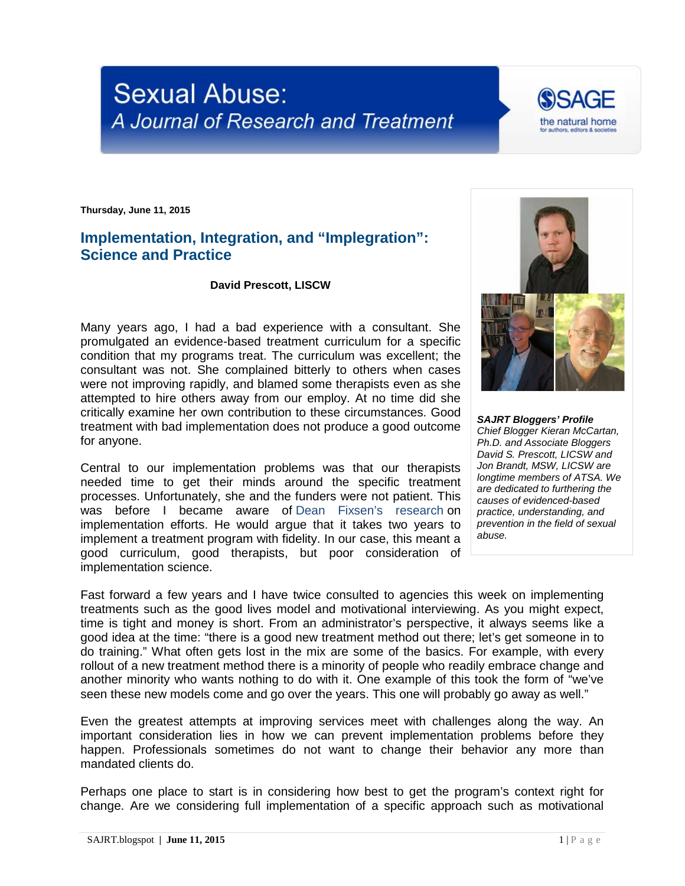## **Sexual Abuse:** A Journal of Research and Treatment

**Thursday, June 11, 2015**

## **Implementation, Integration, and "Implegration": Science and Practice**

## **David Prescott, LISCW**

Many years ago, I had a bad experience with a consultant. She promulgated an evidence-based treatment curriculum for a specific condition that my programs treat. The curriculum was excellent; the consultant was not. She complained bitterly to others when cases were not improving rapidly, and blamed some therapists even as she attempted to hire others away from our employ. At no time did she critically examine her own contribution to these circumstances. Good treatment with bad implementation does not produce a good outcome for anyone.

Central to our implementation problems was that our therapists needed time to get their minds around the specific treatment processes. Unfortunately, she and the funders were not patient. This was before I became aware of [Dean Fixsen's research](http://nirn.fpg.unc.edu/resources/implementation-research-synthesis-literature) on implementation efforts. He would argue that it takes two years to implement a treatment program with fidelity. In our case, this meant a good curriculum, good therapists, but poor consideration of implementation science.

Fast forward a few years and I have twice consulted to agencies this week on implementing treatments such as the good lives model and motivational interviewing. As you might expect, time is tight and money is short. From an administrator's perspective, it always seems like a good idea at the time: "there is a good new treatment method out there; let's get someone in to do training." What often gets lost in the mix are some of the basics. For example, with every rollout of a new treatment method there is a minority of people who readily embrace change and another minority who wants nothing to do with it. One example of this took the form of "we've seen these new models come and go over the years. This one will probably go away as well."

Even the greatest attempts at improving services meet with challenges along the way. An important consideration lies in how we can prevent implementation problems before they happen. Professionals sometimes do not want to change their behavior any more than mandated clients do.

Perhaps one place to start is in considering how best to get the program's context right for change. Are we considering full implementation of a specific approach such as motivational



*SAJRT Bloggers' Profile Chief Blogger Kieran McCartan, Ph.D. and Associate Bloggers David S. Prescott, LICSW and Jon Brandt, MSW, LICSW are longtime members of ATSA. We are dedicated to furthering the causes of evidenced-based practice, understanding, and prevention in the field of sexual abuse.*